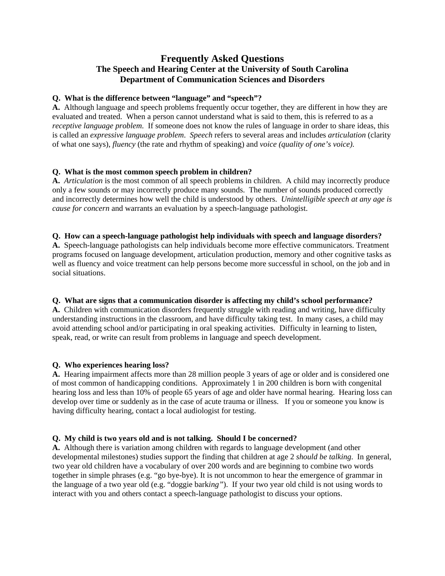# **Frequently Asked Questions The Speech and Hearing Center at the University of South Carolina Department of Communication Sciences and Disorders**

### **Q. What is the difference between "language" and "speech"?**

**A.** Although language and speech problems frequently occur together, they are different in how they are evaluated and treated. When a person cannot understand what is said to them, this is referred to as a *receptive language problem*. If someone does not know the rules of language in order to share ideas, this is called an *expressive language problem*. *Speech* refers to several areas and includes *articulation* (clarity of what one says), *fluency* (the rate and rhythm of speaking) and *voice (quality of one's voice).* 

## **Q. What is the most common speech problem in children?**

**A.** *Articulation* is the most common of all speech problems in children. A child may incorrectly produce only a few sounds or may incorrectly produce many sounds. The number of sounds produced correctly and incorrectly determines how well the child is understood by others. *Unintelligible speech at any age is cause for concern* and warrants an evaluation by a speech-language pathologist.

#### **Q. How can a speech-language pathologist help individuals with speech and language disorders?**

**A.** Speech-language pathologists can help individuals become more effective communicators. Treatment programs focused on language development, articulation production, memory and other cognitive tasks as well as fluency and voice treatment can help persons become more successful in school, on the job and in social situations.

#### **Q. What are signs that a communication disorder is affecting my child's school performance?**

**A.** Children with communication disorders frequently struggle with reading and writing, have difficulty understanding instructions in the classroom, and have difficulty taking test. In many cases, a child may avoid attending school and/or participating in oral speaking activities. Difficulty in learning to listen, speak, read, or write can result from problems in language and speech development.

#### **Q. Who experiences hearing loss?**

**A.** Hearing impairment affects more than 28 million people 3 years of age or older and is considered one of most common of handicapping conditions. Approximately 1 in 200 children is born with congenital hearing loss and less than 10% of people 65 years of age and older have normal hearing. Hearing loss can develop over time or suddenly as in the case of acute trauma or illness. If you or someone you know is having difficulty hearing, contact a local audiologist for testing.

#### **Q. My child is two years old and is not talking. Should I be concerned?**

**A.** Although there is variation among children with regards to language development (and other developmental milestones) studies support the finding that children at age 2 *should be talking*. In general, two year old children have a vocabulary of over 200 words and are beginning to combine two words together in simple phrases (e.g. "go bye-bye). It is not uncommon to hear the emergence of grammar in the language of a two year old (e.g. "doggie bark*ing"*). If your two year old child is not using words to interact with you and others contact a speech-language pathologist to discuss your options.